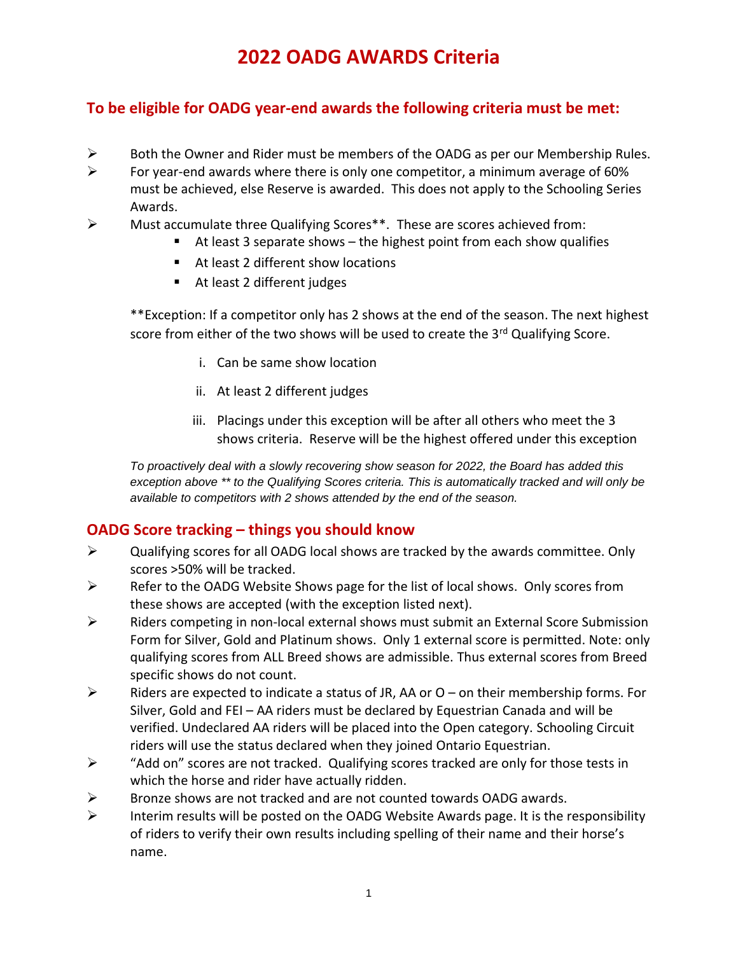# **2022 OADG AWARDS Criteria**

### **To be eligible for OADG year-end awards the following criteria must be met:**

- $\triangleright$  Both the Owner and Rider must be members of the OADG as per our Membership Rules.
- $\triangleright$  For year-end awards where there is only one competitor, a minimum average of 60% must be achieved, else Reserve is awarded. This does not apply to the Schooling Series Awards.
- ➢ Must accumulate three Qualifying Scores\*\*. These are scores achieved from:
	- At least 3 separate shows the highest point from each show qualifies
	- At least 2 different show locations
	- At least 2 different judges

\*\*Exception: If a competitor only has 2 shows at the end of the season. The next highest score from either of the two shows will be used to create the 3<sup>rd</sup> Qualifying Score.

- i. Can be same show location
- ii. At least 2 different judges
- iii. Placings under this exception will be after all others who meet the 3 shows criteria. Reserve will be the highest offered under this exception

*To proactively deal with a slowly recovering show season for 2022, the Board has added this exception above \*\* to the Qualifying Scores criteria. This is automatically tracked and will only be available to competitors with 2 shows attended by the end of the season.*

#### **OADG Score tracking – things you should know**

- $\triangleright$  Qualifying scores for all OADG local shows are tracked by the awards committee. Only scores >50% will be tracked.
- $\triangleright$  Refer to the OADG Website Shows page for the list of local shows. Only scores from these shows are accepted (with the exception listed next).
- $\triangleright$  Riders competing in non-local external shows must submit an External Score Submission Form for Silver, Gold and Platinum shows. Only 1 external score is permitted. Note: only qualifying scores from ALL Breed shows are admissible. Thus external scores from Breed specific shows do not count.
- $\triangleright$  Riders are expected to indicate a status of JR, AA or O on their membership forms. For Silver, Gold and FEI – AA riders must be declared by Equestrian Canada and will be verified. Undeclared AA riders will be placed into the Open category. Schooling Circuit riders will use the status declared when they joined Ontario Equestrian.
- ➢ "Add on" scores are not tracked. Qualifying scores tracked are only for those tests in which the horse and rider have actually ridden.
- $\triangleright$  Bronze shows are not tracked and are not counted towards OADG awards.
- ➢ Interim results will be posted on the OADG Website Awards page. It is the responsibility of riders to verify their own results including spelling of their name and their horse's name.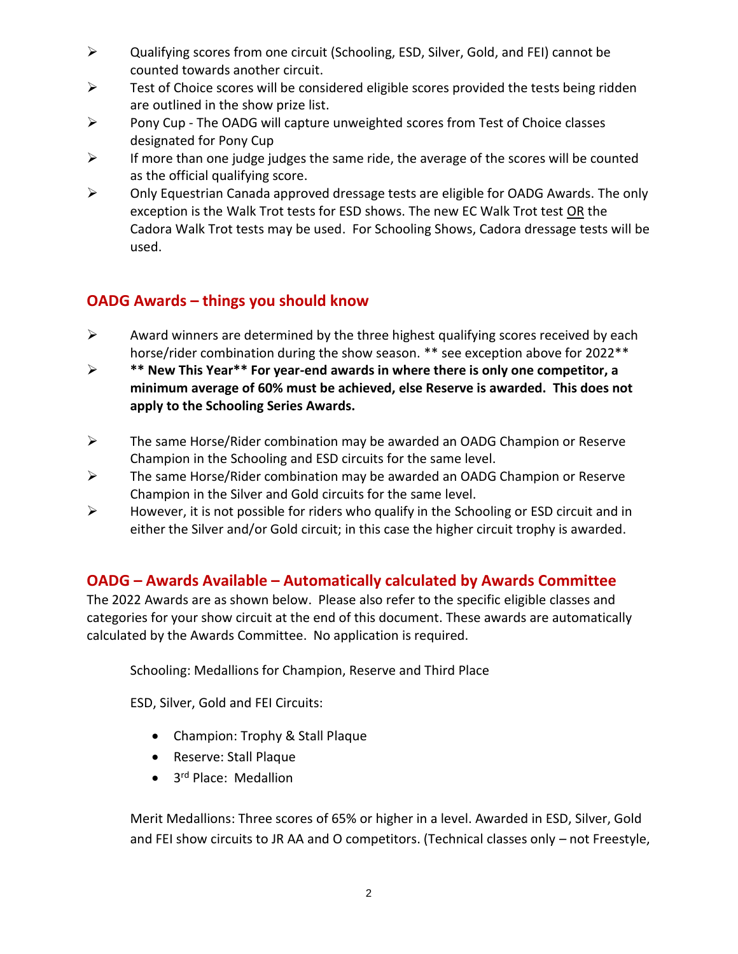- ➢ Qualifying scores from one circuit (Schooling, ESD, Silver, Gold, and FEI) cannot be counted towards another circuit.
- ➢ Test of Choice scores will be considered eligible scores provided the tests being ridden are outlined in the show prize list.
- ➢ Pony Cup The OADG will capture unweighted scores from Test of Choice classes designated for Pony Cup
- $\triangleright$  If more than one judge judges the same ride, the average of the scores will be counted as the official qualifying score.
- ➢ Only Equestrian Canada approved dressage tests are eligible for OADG Awards. The only exception is the Walk Trot tests for ESD shows. The new EC Walk Trot test OR the Cadora Walk Trot tests may be used. For Schooling Shows, Cadora dressage tests will be used.

## **OADG Awards – things you should know**

- $\triangleright$  Award winners are determined by the three highest qualifying scores received by each horse/rider combination during the show season. \*\* see exception above for 2022 \*\*
- ➢ **\*\* New This Year\*\* For year-end awards in where there is only one competitor, a minimum average of 60% must be achieved, else Reserve is awarded. This does not apply to the Schooling Series Awards.**
- $\triangleright$  The same Horse/Rider combination may be awarded an OADG Champion or Reserve Champion in the Schooling and ESD circuits for the same level.
- ➢ The same Horse/Rider combination may be awarded an OADG Champion or Reserve Champion in the Silver and Gold circuits for the same level.
- $\triangleright$  However, it is not possible for riders who qualify in the Schooling or ESD circuit and in either the Silver and/or Gold circuit; in this case the higher circuit trophy is awarded.

### **OADG – Awards Available – Automatically calculated by Awards Committee**

The 2022 Awards are as shown below. Please also refer to the specific eligible classes and categories for your show circuit at the end of this document. These awards are automatically calculated by the Awards Committee. No application is required.

Schooling: Medallions for Champion, Reserve and Third Place

ESD, Silver, Gold and FEI Circuits:

- Champion: Trophy & Stall Plaque
- Reserve: Stall Plaque
- 3<sup>rd</sup> Place: Medallion

Merit Medallions: Three scores of 65% or higher in a level. Awarded in ESD, Silver, Gold and FEI show circuits to JR AA and O competitors. (Technical classes only – not Freestyle,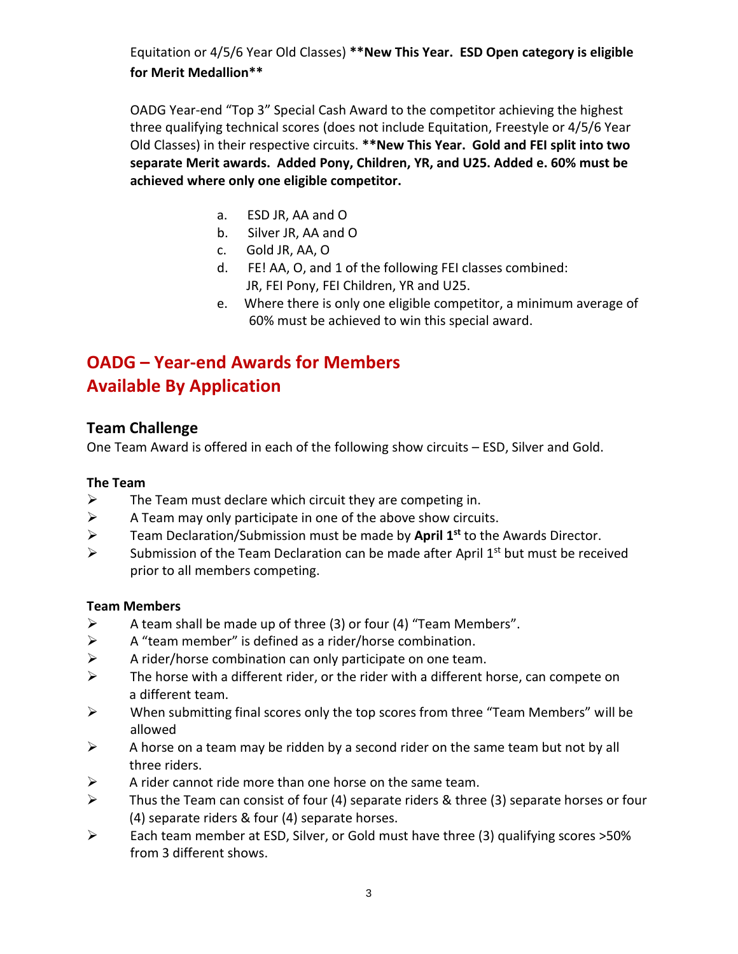Equitation or 4/5/6 Year Old Classes) **\*\*New This Year. ESD Open category is eligible for Merit Medallion\*\***

OADG Year-end "Top 3" Special Cash Award to the competitor achieving the highest three qualifying technical scores (does not include Equitation, Freestyle or 4/5/6 Year Old Classes) in their respective circuits. **\*\*New This Year. Gold and FEI split into two separate Merit awards. Added Pony, Children, YR, and U25. Added e. 60% must be achieved where only one eligible competitor.**

- a. ESD JR, AA and O
- b. Silver JR, AA and O
- c. Gold JR, AA, O
- d. FE! AA, O, and 1 of the following FEI classes combined: JR, FEI Pony, FEI Children, YR and U25.
- e. Where there is only one eligible competitor, a minimum average of 60% must be achieved to win this special award.

# **OADG – Year-end Awards for Members Available By Application**

### **Team Challenge**

One Team Award is offered in each of the following show circuits – ESD, Silver and Gold.

#### **The Team**

- $\triangleright$  The Team must declare which circuit they are competing in.
- $\triangleright$  A Team may only participate in one of the above show circuits.
- ➢ Team Declaration/Submission must be made by **April 1st** to the Awards Director.
- $\triangleright$  Submission of the Team Declaration can be made after April 1<sup>st</sup> but must be received prior to all members competing.

#### **Team Members**

- $\triangleright$  A team shall be made up of three (3) or four (4) "Team Members".
- $\triangleright$  A "team member" is defined as a rider/horse combination.
- $\triangleright$  A rider/horse combination can only participate on one team.
- $\triangleright$  The horse with a different rider, or the rider with a different horse, can compete on a different team.
- ➢ When submitting final scores only the top scores from three "Team Members" will be allowed
- $\triangleright$  A horse on a team may be ridden by a second rider on the same team but not by all three riders.
- $\triangleright$  A rider cannot ride more than one horse on the same team.
- $\triangleright$  Thus the Team can consist of four (4) separate riders & three (3) separate horses or four (4) separate riders & four (4) separate horses.
- ➢ Each team member at ESD, Silver, or Gold must have three (3) qualifying scores >50% from 3 different shows.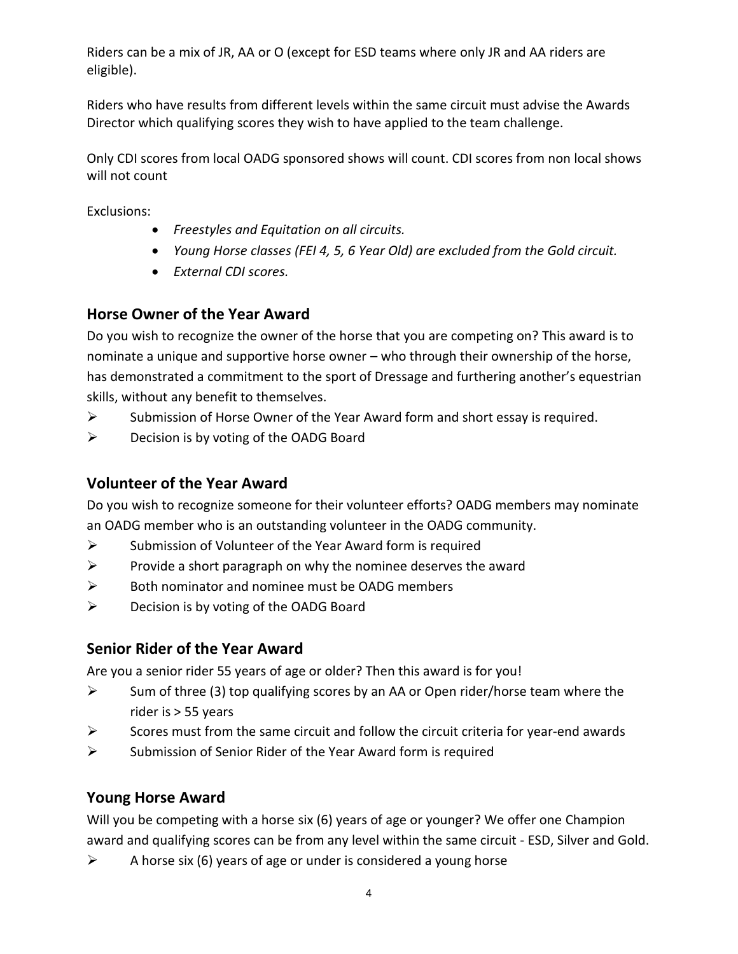Riders can be a mix of JR, AA or O (except for ESD teams where only JR and AA riders are eligible).

Riders who have results from different levels within the same circuit must advise the Awards Director which qualifying scores they wish to have applied to the team challenge.

Only CDI scores from local OADG sponsored shows will count. CDI scores from non local shows will not count

Exclusions:

- *Freestyles and Equitation on all circuits.*
- *Young Horse classes (FEI 4, 5, 6 Year Old) are excluded from the Gold circuit.*
- *External CDI scores.*

### **Horse Owner of the Year Award**

Do you wish to recognize the owner of the horse that you are competing on? This award is to nominate a unique and supportive horse owner – who through their ownership of the horse, has demonstrated a commitment to the sport of Dressage and furthering another's equestrian skills, without any benefit to themselves.

- ➢ Submission of Horse Owner of the Year Award form and short essay is required.
- ➢ Decision is by voting of the OADG Board

## **Volunteer of the Year Award**

Do you wish to recognize someone for their volunteer efforts? OADG members may nominate an OADG member who is an outstanding volunteer in the OADG community.

- ➢ Submission of Volunteer of the Year Award form is required
- $\triangleright$  Provide a short paragraph on why the nominee deserves the award
- $\triangleright$  Both nominator and nominee must be OADG members
- ➢ Decision is by voting of the OADG Board

### **Senior Rider of the Year Award**

Are you a senior rider 55 years of age or older? Then this award is for you!

- $\triangleright$  Sum of three (3) top qualifying scores by an AA or Open rider/horse team where the rider is > 55 years
- $\triangleright$  Scores must from the same circuit and follow the circuit criteria for year-end awards
- $\triangleright$  Submission of Senior Rider of the Year Award form is required

# **Young Horse Award**

Will you be competing with a horse six (6) years of age or younger? We offer one Champion award and qualifying scores can be from any level within the same circuit - ESD, Silver and Gold.

 $\triangleright$  A horse six (6) years of age or under is considered a young horse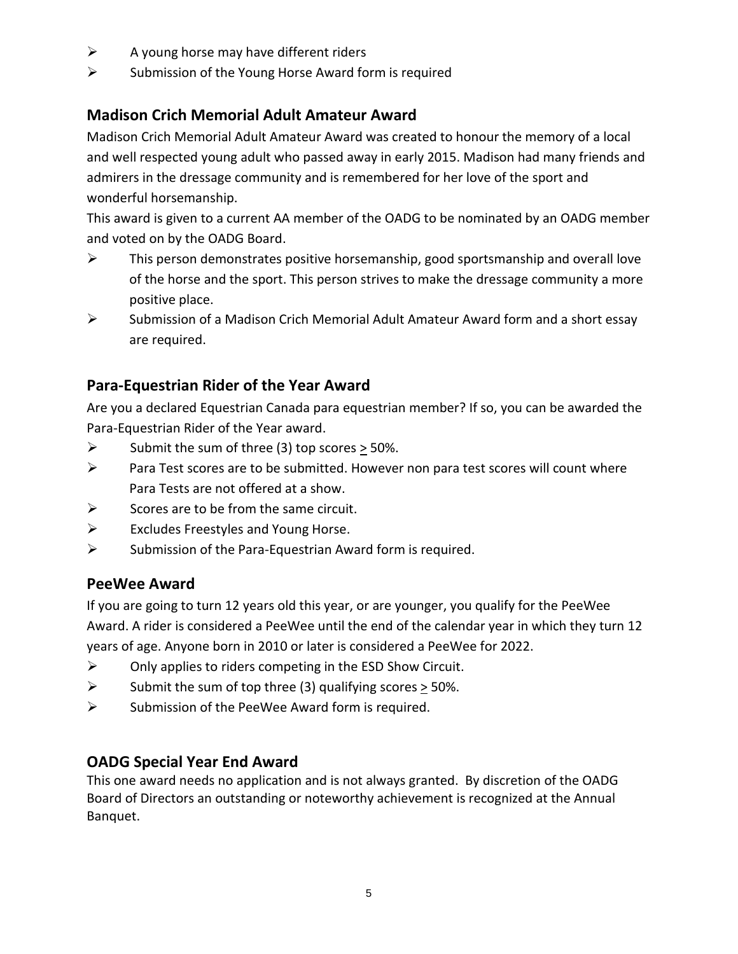- $\triangleright$  A young horse may have different riders
- ➢ Submission of the Young Horse Award form is required

## **Madison Crich Memorial Adult Amateur Award**

Madison Crich Memorial Adult Amateur Award was created to honour the memory of a local and well respected young adult who passed away in early 2015. Madison had many friends and admirers in the dressage community and is remembered for her love of the sport and wonderful horsemanship.

This award is given to a current AA member of the OADG to be nominated by an OADG member and voted on by the OADG Board.

- $\triangleright$  This person demonstrates positive horsemanship, good sportsmanship and overall love of the horse and the sport. This person strives to make the dressage community a more positive place.
- ➢ Submission of a Madison Crich Memorial Adult Amateur Award form and a short essay are required.

## **Para-Equestrian Rider of the Year Award**

Are you a declared Equestrian Canada para equestrian member? If so, you can be awarded the Para-Equestrian Rider of the Year award.

- $\triangleright$  Submit the sum of three (3) top scores  $>$  50%.
- $\triangleright$  Para Test scores are to be submitted. However non para test scores will count where Para Tests are not offered at a show.
- $\triangleright$  Scores are to be from the same circuit.
- ➢ Excludes Freestyles and Young Horse.
- $\triangleright$  Submission of the Para-Equestrian Award form is required.

#### **PeeWee Award**

If you are going to turn 12 years old this year, or are younger, you qualify for the PeeWee Award. A rider is considered a PeeWee until the end of the calendar year in which they turn 12 years of age. Anyone born in 2010 or later is considered a PeeWee for 2022.

- $\triangleright$  Only applies to riders competing in the ESD Show Circuit.
- $\triangleright$  Submit the sum of top three (3) qualifying scores  $>$  50%.
- $\triangleright$  Submission of the PeeWee Award form is required.

### **OADG Special Year End Award**

This one award needs no application and is not always granted. By discretion of the OADG Board of Directors an outstanding or noteworthy achievement is recognized at the Annual Banquet.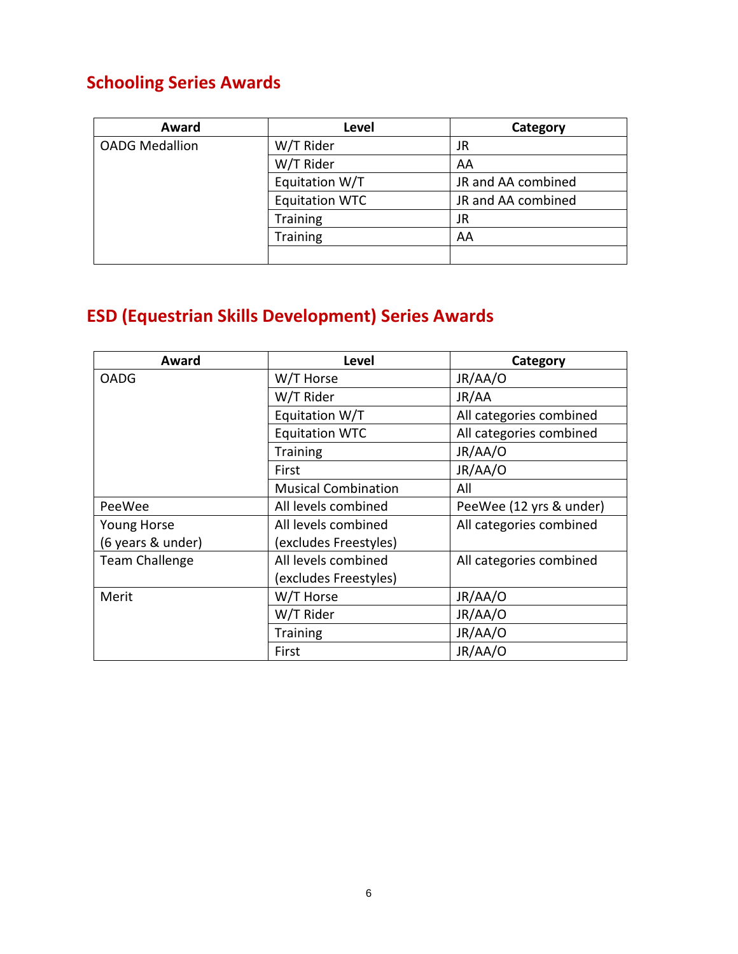# **Schooling Series Awards**

| Award                 | Level                 | Category           |
|-----------------------|-----------------------|--------------------|
| <b>OADG Medallion</b> | W/T Rider             | JR                 |
|                       | W/T Rider             | AA                 |
|                       | Equitation W/T        | JR and AA combined |
|                       | <b>Equitation WTC</b> | JR and AA combined |
|                       | <b>Training</b>       | JR                 |
|                       | <b>Training</b>       | AA                 |
|                       |                       |                    |

# **ESD (Equestrian Skills Development) Series Awards**

| Award                 | <b>Level</b>               | Category                |
|-----------------------|----------------------------|-------------------------|
| <b>OADG</b>           | W/T Horse                  | JR/AA/O                 |
|                       | W/T Rider                  | JR/AA                   |
|                       | Equitation W/T             | All categories combined |
|                       | <b>Equitation WTC</b>      | All categories combined |
|                       | <b>Training</b>            | JR/AA/O                 |
|                       | First                      | JR/AA/O                 |
|                       | <b>Musical Combination</b> | All                     |
| PeeWee                | All levels combined        | PeeWee (12 yrs & under) |
| <b>Young Horse</b>    | All levels combined        | All categories combined |
| (6 years & under)     | (excludes Freestyles)      |                         |
| <b>Team Challenge</b> | All levels combined        | All categories combined |
|                       | (excludes Freestyles)      |                         |
| Merit                 | W/T Horse                  | JR/AA/O                 |
|                       | W/T Rider                  | JR/AA/O                 |
|                       | Training                   | JR/AA/O                 |
|                       | First                      | JR/AA/O                 |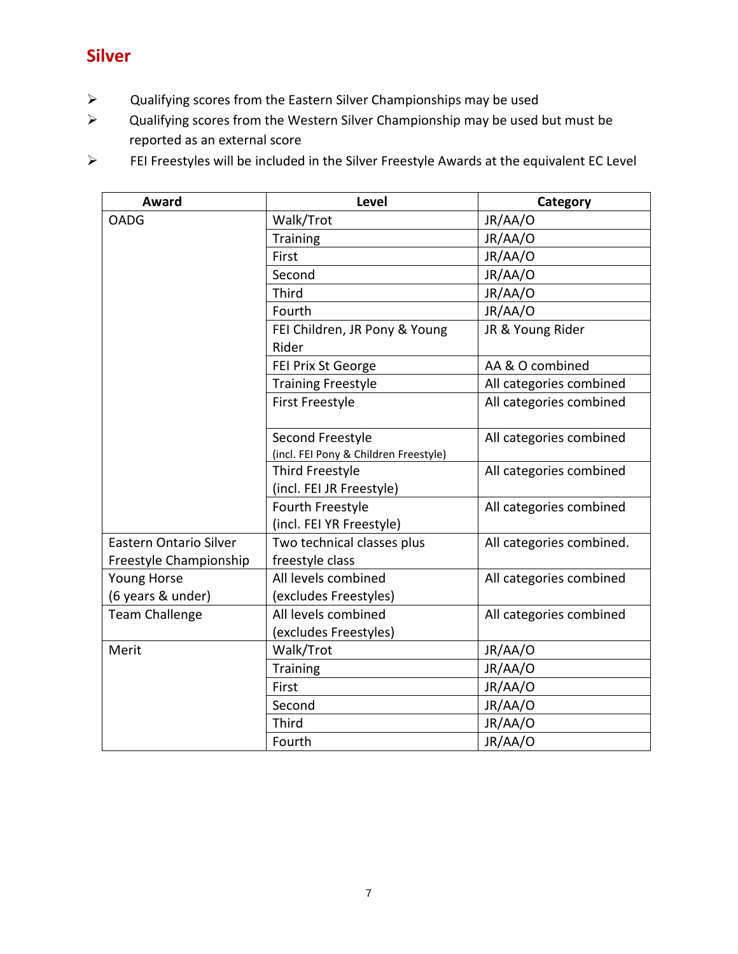# **Silver**

- ➢ Qualifying scores from the Eastern Silver Championships may be used
- $\triangleright$  Qualifying scores from the Western Silver Championship may be used but must be reported as an external score

➢ FEI Freestyles will be included in the Silver Freestyle Awards at the equivalent EC Level

| <b>Award</b>                                            | <b>Level</b>                                              | Category                 |
|---------------------------------------------------------|-----------------------------------------------------------|--------------------------|
| <b>OADG</b>                                             | Walk/Trot                                                 | JR/AA/O                  |
|                                                         | Training                                                  | JR/AA/O                  |
|                                                         | First                                                     | JR/AA/O                  |
|                                                         | Second                                                    | JR/AA/O                  |
|                                                         | <b>Third</b>                                              | JR/AA/O                  |
|                                                         | Fourth                                                    | JR/AA/O                  |
|                                                         | FEI Children, JR Pony & Young<br>Rider                    | JR & Young Rider         |
|                                                         | FEI Prix St George                                        | AA & O combined          |
|                                                         | <b>Training Freestyle</b>                                 | All categories combined  |
|                                                         | <b>First Freestyle</b>                                    | All categories combined  |
|                                                         | Second Freestyle<br>(incl. FEI Pony & Children Freestyle) | All categories combined  |
|                                                         | Third Freestyle<br>(incl. FEI JR Freestyle)               | All categories combined  |
|                                                         | Fourth Freestyle<br>(incl. FEI YR Freestyle)              | All categories combined  |
| <b>Eastern Ontario Silver</b><br>Freestyle Championship | Two technical classes plus<br>freestyle class             | All categories combined. |
| Young Horse<br>(6 years & under)                        | All levels combined<br>(excludes Freestyles)              | All categories combined  |
| <b>Team Challenge</b>                                   | All levels combined<br>(excludes Freestyles)              | All categories combined  |
| Merit                                                   | Walk/Trot                                                 | JR/AA/O                  |
|                                                         | <b>Training</b>                                           | JR/AA/O                  |
|                                                         | First                                                     | JR/AA/O                  |
|                                                         | Second                                                    | JR/AA/O                  |
|                                                         | Third                                                     | JR/AA/O                  |
|                                                         | Fourth                                                    | JR/AA/O                  |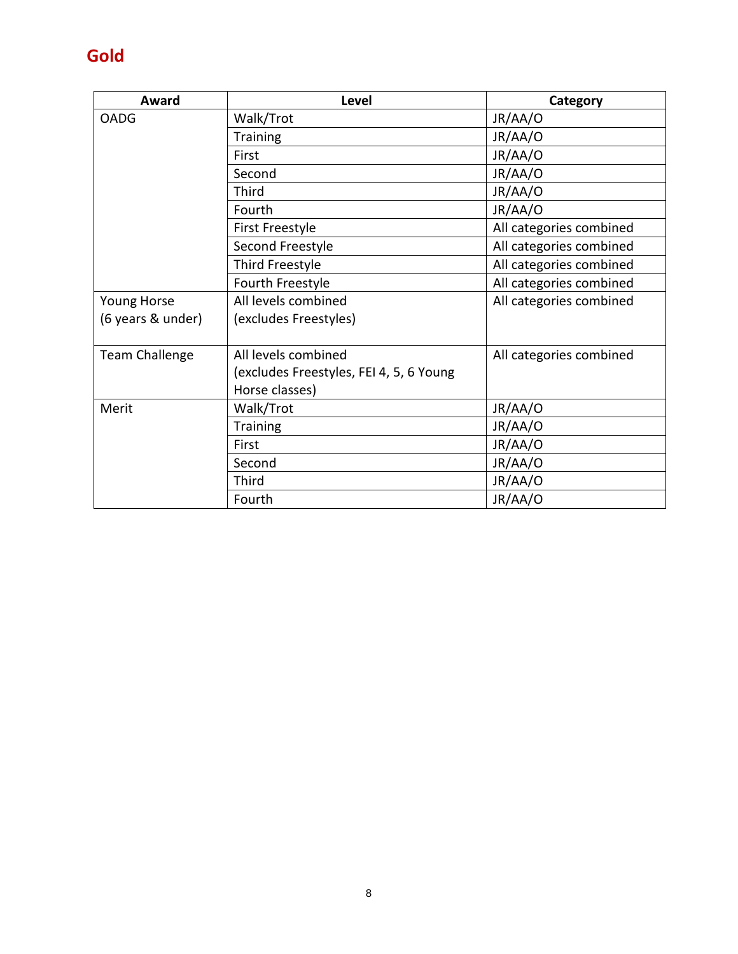# **Gold**

| Award                 | <b>Level</b>                            | Category                |
|-----------------------|-----------------------------------------|-------------------------|
| <b>OADG</b>           | Walk/Trot                               | JR/AA/O                 |
|                       | <b>Training</b>                         | JR/AA/O                 |
|                       | First                                   | JR/AA/O                 |
|                       | Second                                  | JR/AA/O                 |
|                       | Third                                   | JR/AA/O                 |
|                       | Fourth                                  | JR/AA/O                 |
|                       | <b>First Freestyle</b>                  | All categories combined |
|                       | Second Freestyle                        | All categories combined |
|                       | Third Freestyle                         | All categories combined |
|                       | Fourth Freestyle                        | All categories combined |
| Young Horse           | All levels combined                     | All categories combined |
| (6 years & under)     | (excludes Freestyles)                   |                         |
|                       |                                         |                         |
| <b>Team Challenge</b> | All levels combined                     | All categories combined |
|                       | (excludes Freestyles, FEI 4, 5, 6 Young |                         |
|                       | Horse classes)                          |                         |
| Merit                 | Walk/Trot                               | JR/AA/O                 |
|                       | <b>Training</b>                         | JR/AA/O                 |
|                       | First                                   | JR/AA/O                 |
|                       | Second                                  | JR/AA/O                 |
|                       | Third                                   | JR/AA/O                 |
|                       | Fourth                                  | JR/AA/O                 |